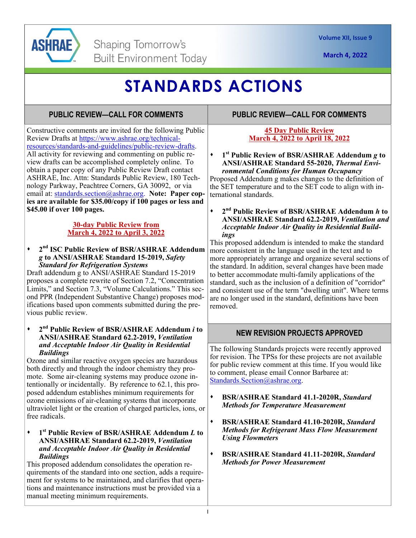

**March 4, 2022** 

# **STANDARDS ACTIONS**

## **PUBLIC REVIEW—CALL FOR COMMENTS**

**PUBLIC REVIEW—CALL FOR COMMENTS** 

Constructive comments are invited for the following Public Review Drafts at https://www.ashrae.org/technicalresources/standards-and-guidelines/public-review-drafts. All activity for reviewing and commenting on public review drafts can be accomplished completely online. To obtain a paper copy of any Public Review Draft contact ASHRAE, Inc. Attn: Standards Public Review, 180 Technology Parkway, Peachtree Corners, GA 30092, or via email at: standards.section@ashrae.org. **Note: Paper copies are available for \$35.00/copy if 100 pages or less and \$45.00 if over 100 pages.** 

### **30-day Public Review from March 4, 2022 to April 3, 2022**

**2nd ISC Public Review of BSR/ASHRAE Addendum**  *g* **to ANSI/ASHRAE Standard 15-2019,** *Safety Standard for Refrigeration Systems* 

Draft addendum g to ANSI/ASHRAE Standard 15-2019 proposes a complete rewrite of Section 7.2, "Concentration Limits," and Section 7.3, "Volume Calculations." This second PPR (Independent Substantive Change) proposes modifications based upon comments submitted during the previous public review.

#### **2nd Public Review of BSR/ASHRAE Addendum** *i* **to ANSI/ASHRAE Standard 62.2-2019,** *Ventilation and Acceptable Indoor Air Quality in Residential Buildings*

Ozone and similar reactive oxygen species are hazardous both directly and through the indoor chemistry they promote. Some air-cleaning systems may produce ozone intentionally or incidentally. By reference to 62.1, this proposed addendum establishes minimum requirements for ozone emissions of air-cleaning systems that incorporate ultraviolet light or the creation of charged particles, ions, or free radicals.

#### **1st Public Review of BSR/ASHRAE Addendum** *L* **to ANSI/ASHRAE Standard 62.2-2019,** *Ventilation and Acceptable Indoor Air Quality in Residential Buildings*

This proposed addendum consolidates the operation requirements of the standard into one section, adds a requirement for systems to be maintained, and clarifies that operations and maintenance instructions must be provided via a manual meeting minimum requirements.

### **45 Day Public Review March 4, 2022 to April 18, 2022**

### **1st Public Review of BSR/ASHRAE Addendum** *g* **to ANSI/ASHRAE Standard 55-2020,** *Thermal Environmental Conditions for Human Occupancy*

Proposed Addendum g makes changes to the definition of the SET temperature and to the SET code to align with international standards.

#### **2nd Public Review of BSR/ASHRAE Addendum** *h* **to ANSI/ASHRAE Standard 62.2-2019,** *Ventilation and Acceptable Indoor Air Quality in Residential Buildings*

This proposed addendum is intended to make the standard more consistent in the language used in the text and to more appropriately arrange and organize several sections of the standard. In addition, several changes have been made to better accommodate multi-family applications of the standard, such as the inclusion of a definition of "corridor" and consistent use of the term "dwelling unit". Where terms are no longer used in the standard, definitions have been removed.

## **NEW REVISION PROJECTS APPROVED**

The following Standards projects were recently approved for revision. The TPSs for these projects are not available for public review comment at this time. If you would like to comment, please email Connor Barbaree at: Standards.Section@ashrae.org.

- **BSR/ASHRAE Standard 41.1-2020R,** *Standard Methods for Temperature Measurement*
- **BSR/ASHRAE Standard 41.10-2020R,** *Standard Methods for Refrigerant Mass Flow Measurement Using Flowmeters*
- **BSR/ASHRAE Standard 41.11-2020R,** *Standard Methods for Power Measurement*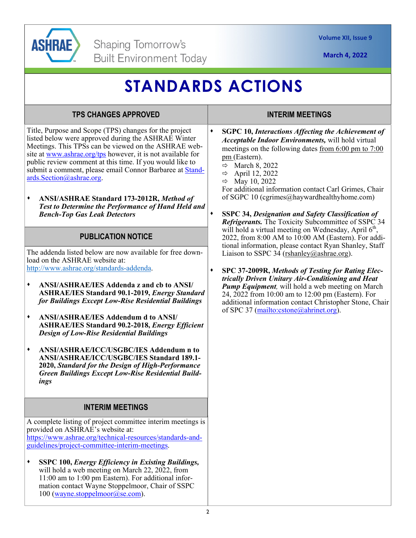

**March 4, 2022** 

# **STANDARDS ACTIONS**

## Title, Purpose and Scope (TPS) changes for the project listed below were approved during the ASHRAE Winter Meetings. This TPSs can be viewed on the ASHRAE web-**TPS CHANGES APPROVED**

site at www.ashrae.org/tps however, it is not available for public review comment at this time. If you would like to submit a comment, please email Connor Barbaree at Standards.Section@ashrae.org.

**ANSI/ASHRAE Standard 173-2012R,** *Method of Test to Determine the Performance of Hand Held and Bench-Top Gas Leak Detectors* 

### **PUBLICATION NOTICE**

The addenda listed below are now available for free download on the ASHRAE website at: http://www.ashrae.org/standards-addenda.

- **ANSI/ASHRAE/IES Addenda z and cb to ANSI/ ASHRAE/IES Standard 90.1-2019,** *Energy Standard for Buildings Except Low-Rise Residential Buildings*
- **ANSI/ASHRAE/IES Addendum d to ANSI/ ASHRAE/IES Standard 90.2-2018,** *Energy Efficient Design of Low-Rise Residential Buildings*
- **ANSI/ASHRAE/ICC/USGBC/IES Addendum n to ANSI/ASHRAE/ICC/USGBC/IES Standard 189.1- 2020,** *Standard for the Design of High-Performance Green Buildings Except Low-Rise Residential Buildings*

## **INTERIM MEETINGS**

A complete listing of project committee interim meetings is provided on ASHRAE's website at: https://www.ashrae.org/technical-resources/standards-andguidelines/project-committee-interim-meetings.

**SSPC 100,** *Energy Efficiency in Existing Buildings,*  will hold a web meeting on March 22, 2022, from 11:00 am to 1:00 pm Eastern). For additional information contact Wayne Stoppelmoor, Chair of SSPC 100 (wayne.stoppelmoor@se.com).

## **INTERIM MEETINGS**

- **SGPC 10,** *Interactions Affecting the Achievement of Acceptable Indoor Environments,* will hold virtual meetings on the following dates from 6:00 pm to 7:00 pm (Eastern).
	- $\Rightarrow$  March 8, 2022
	- $\Rightarrow$  April 12, 2022
	- $\Rightarrow$  May 10, 2022

For additional information contact Carl Grimes, Chair of SGPC 10 (cgrimes@haywardhealthyhome.com)

- **SSPC 34,** *Designation and Safety Classification of Refrigerants.* The Toxicity Subcommittee of SSPC 34 will hold a virtual meeting on Wednesday, April  $6<sup>th</sup>$ , 2022, from 8:00 AM to 10:00 AM (Eastern). For additional information, please contact Ryan Shanley, Staff Liaison to SSPC 34 (rshanley@ashrae.org).
- **SPC 37-2009R,** *Methods of Testing for Rating Electrically Driven Unitary Air-Conditioning and Heat Pump Equipment,* will hold a web meeting on March 24, 2022 from 10:00 am to 12:00 pm (Eastern). For additional information contact Christopher Stone, Chair of SPC 37 (mailto:cstone@ahrinet.org).